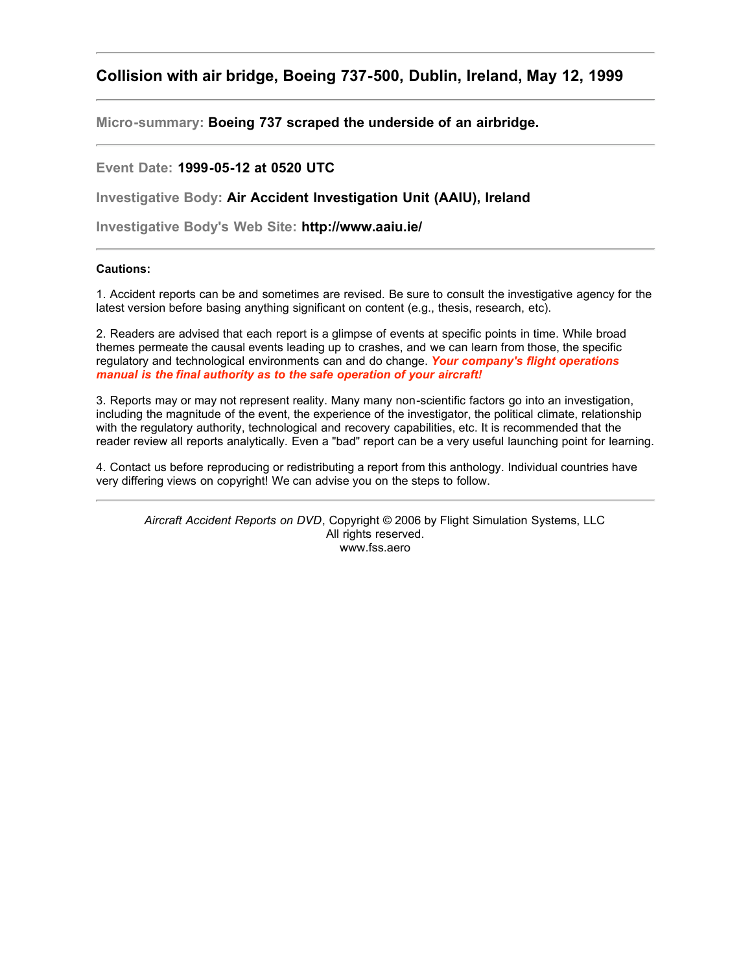### <span id="page-0-0"></span>**Collision with air bridge, Boeing 737-500, Dublin, Ireland, May 12, 1999**

**Micro-summary: Boeing 737 scraped the underside of an airbridge.**

#### **Event Date: 1999-05-12 at 0520 UTC**

**Investigative Body: Air Accident Investigation Unit (AAIU), Ireland**

**Investigative Body's Web Site: http://www.aaiu.ie/**

#### **Cautions:**

1. Accident reports can be and sometimes are revised. Be sure to consult the investigative agency for the latest version before basing anything significant on content (e.g., thesis, research, etc).

2. Readers are advised that each report is a glimpse of events at specific points in time. While broad themes permeate the causal events leading up to crashes, and we can learn from those, the specific regulatory and technological environments can and do change. *Your company's flight operations manual is the final authority as to the safe operation of your aircraft!*

3. Reports may or may not represent reality. Many many non-scientific factors go into an investigation, including the magnitude of the event, the experience of the investigator, the political climate, relationship with the regulatory authority, technological and recovery capabilities, etc. It is recommended that the reader review all reports analytically. Even a "bad" report can be a very useful launching point for learning.

4. Contact us before reproducing or redistributing a report from this anthology. Individual countries have very differing views on copyright! We can advise you on the steps to follow.

*Aircraft Accident Reports on DVD*, Copyright © 2006 by Flight Simulation Systems, LLC All rights reserved. www.fss.aero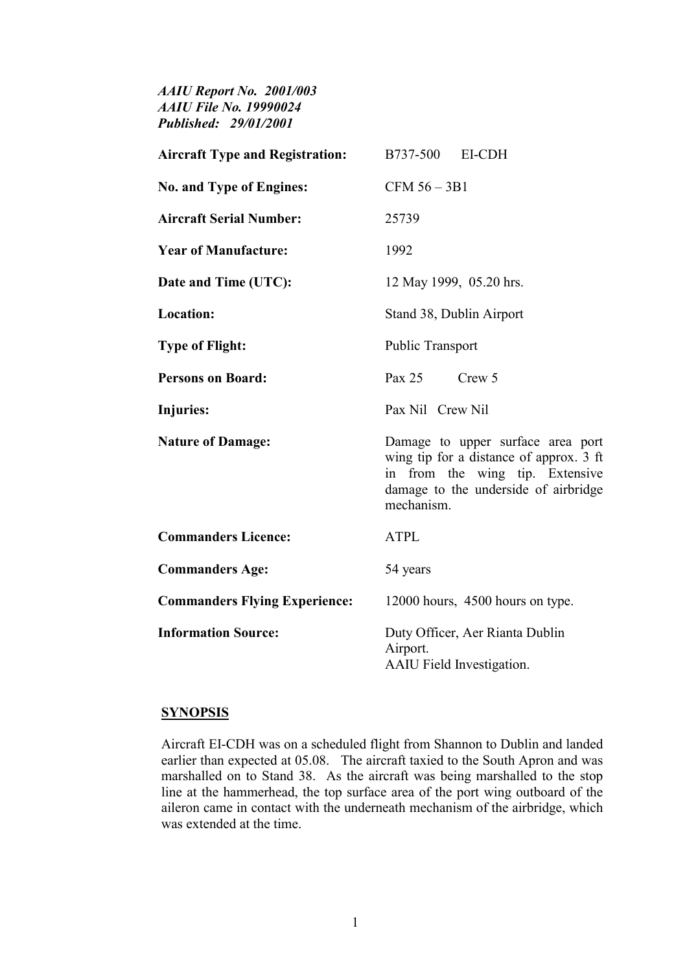*AAIU Report No. 2001/003 AAIU File No. 19990024 Published: 29/01/2001* 

| <b>Aircraft Type and Registration:</b> | B737-500 EI-CDH                                                                                                                                                       |
|----------------------------------------|-----------------------------------------------------------------------------------------------------------------------------------------------------------------------|
| <b>No. and Type of Engines:</b>        | $CFM 56 - 3B1$                                                                                                                                                        |
| <b>Aircraft Serial Number:</b>         | 25739                                                                                                                                                                 |
| <b>Year of Manufacture:</b>            | 1992                                                                                                                                                                  |
| Date and Time (UTC):                   | 12 May 1999, 05.20 hrs.                                                                                                                                               |
| Location:                              | Stand 38, Dublin Airport                                                                                                                                              |
| <b>Type of Flight:</b>                 | Public Transport                                                                                                                                                      |
| <b>Persons on Board:</b>               | Pax 25<br>Crew 5                                                                                                                                                      |
| <b>Injuries:</b>                       | Pax Nil Crew Nil                                                                                                                                                      |
| <b>Nature of Damage:</b>               | Damage to upper surface area port<br>wing tip for a distance of approx. 3 ft<br>in from the wing tip. Extensive<br>damage to the underside of airbridge<br>mechanism. |
| <b>Commanders Licence:</b>             | <b>ATPL</b>                                                                                                                                                           |
| <b>Commanders Age:</b>                 | 54 years                                                                                                                                                              |
| <b>Commanders Flying Experience:</b>   | 12000 hours, 4500 hours on type.                                                                                                                                      |
| <b>Information Source:</b>             | Duty Officer, Aer Rianta Dublin<br>Airport.<br><b>AAIU</b> Field Investigation.                                                                                       |

#### **SYNOPSIS**

Aircraft EI-CDH was on a scheduled flight from Shannon to Dublin and landed earlier than expected at 05.08. The aircraft taxied to the South Apron and was marshalled on to Stand 38. As the aircraft was being marshalled to the stop line at the hammerhead, the top surface area of the port wing outboard of the aileron came in contact with the underneath mechanism of the airbridge, which was extended at the time.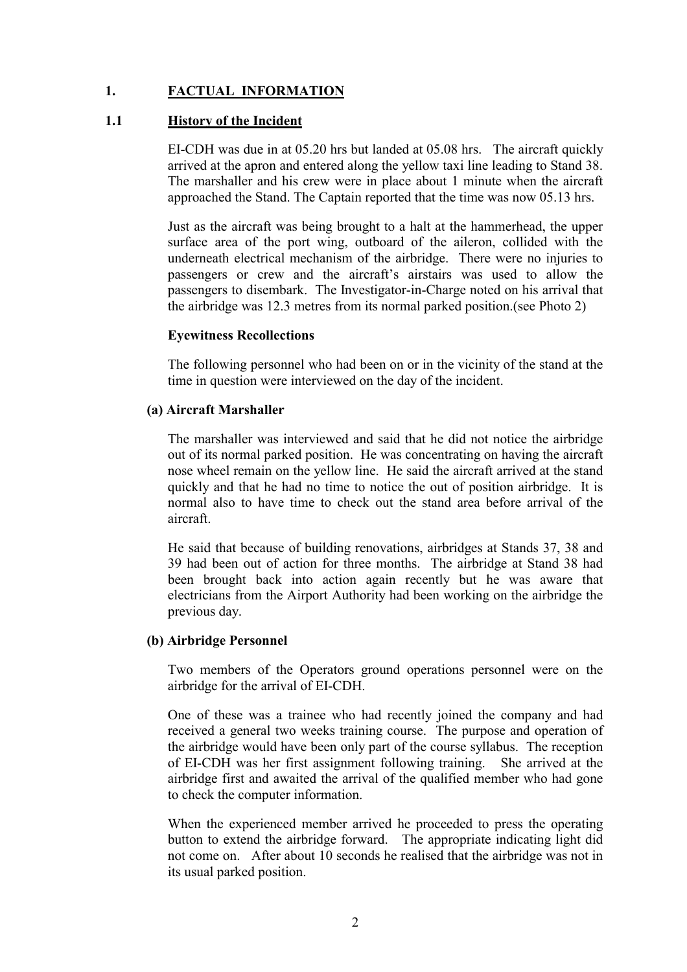# **1. FACTUAL INFORMATION**

### **1.1 History of the Incident**

EI-CDH was due in at 05.20 hrs but landed at 05.08 hrs. The aircraft quickly arrived at the apron and entered along the yellow taxi line leading to Stand 38. The marshaller and his crew were in place about 1 minute when the aircraft approached the Stand. The Captain reported that the time was now 05.13 hrs.

Just as the aircraft was being brought to a halt at the hammerhead, the upper surface area of the port wing, outboard of the aileron, collided with the underneath electrical mechanism of the airbridge. There were no injuries to passengers or crew and the aircraft's airstairs was used to allow the passengers to disembark. The Investigator-in-Charge noted on his arrival that the airbridge was 12.3 metres from its normal parked position.(see Photo 2)

#### **Eyewitness Recollections**

The following personnel who had been on or in the vicinity of the stand at the time in question were interviewed on the day of the incident.

#### **(a) Aircraft Marshaller**

The marshaller was interviewed and said that he did not notice the airbridge out of its normal parked position. He was concentrating on having the aircraft nose wheel remain on the yellow line. He said the aircraft arrived at the stand quickly and that he had no time to notice the out of position airbridge. It is normal also to have time to check out the stand area before arrival of the aircraft.

He said that because of building renovations, airbridges at Stands 37, 38 and 39 had been out of action for three months. The airbridge at Stand 38 had been brought back into action again recently but he was aware that electricians from the Airport Authority had been working on the airbridge the previous day.

#### **(b) Airbridge Personnel**

Two members of the Operators ground operations personnel were on the airbridge for the arrival of EI-CDH.

One of these was a trainee who had recently joined the company and had received a general two weeks training course. The purpose and operation of the airbridge would have been only part of the course syllabus. The reception of EI-CDH was her first assignment following training. She arrived at the airbridge first and awaited the arrival of the qualified member who had gone to check the computer information.

When the experienced member arrived he proceeded to press the operating button to extend the airbridge forward. The appropriate indicating light did not come on. After about 10 seconds he realised that the airbridge was not in its usual parked position.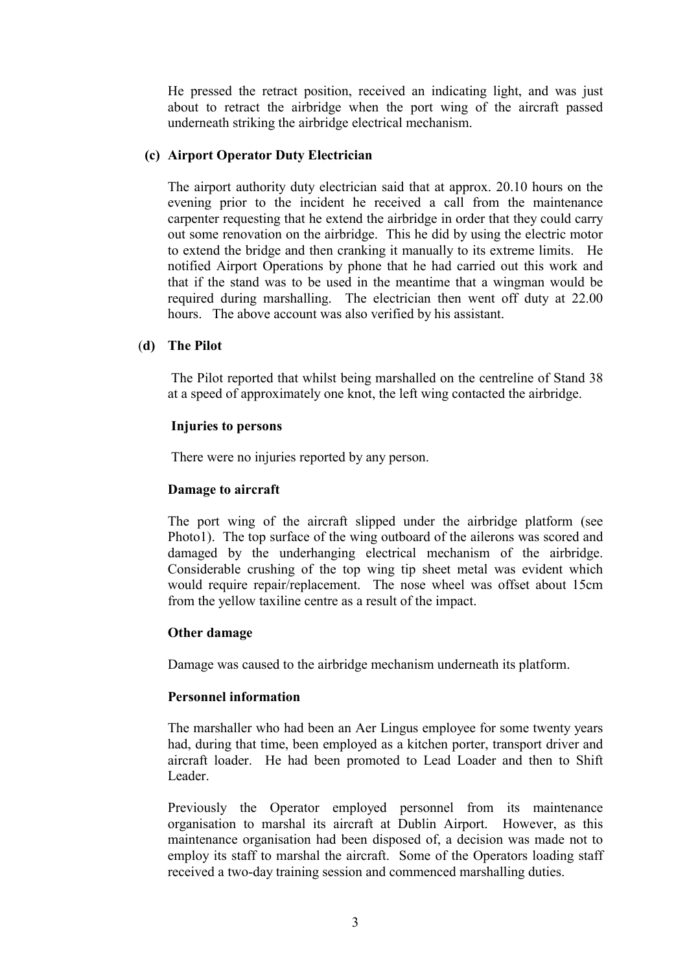He pressed the retract position, received an indicating light, and was just about to retract the airbridge when the port wing of the aircraft passed underneath striking the airbridge electrical mechanism.

#### **(c) Airport Operator Duty Electrician**

The airport authority duty electrician said that at approx. 20.10 hours on the evening prior to the incident he received a call from the maintenance carpenter requesting that he extend the airbridge in order that they could carry out some renovation on the airbridge. This he did by using the electric motor to extend the bridge and then cranking it manually to its extreme limits. He notified Airport Operations by phone that he had carried out this work and that if the stand was to be used in the meantime that a wingman would be required during marshalling. The electrician then went off duty at 22.00 hours. The above account was also verified by his assistant.

#### (**d) The Pilot**

The Pilot reported that whilst being marshalled on the centreline of Stand 38 at a speed of approximately one knot, the left wing contacted the airbridge.

#### **Injuries to persons**

There were no injuries reported by any person.

### **Damage to aircraft**

The port wing of the aircraft slipped under the airbridge platform (see Photo1). The top surface of the wing outboard of the ailerons was scored and damaged by the underhanging electrical mechanism of the airbridge. Considerable crushing of the top wing tip sheet metal was evident which would require repair/replacement. The nose wheel was offset about 15cm from the yellow taxiline centre as a result of the impact.

#### **Other damage**

Damage was caused to the airbridge mechanism underneath its platform.

#### **Personnel information**

The marshaller who had been an Aer Lingus employee for some twenty years had, during that time, been employed as a kitchen porter, transport driver and aircraft loader. He had been promoted to Lead Loader and then to Shift Leader.

Previously the Operator employed personnel from its maintenance organisation to marshal its aircraft at Dublin Airport. However, as this maintenance organisation had been disposed of, a decision was made not to employ its staff to marshal the aircraft. Some of the Operators loading staff received a two-day training session and commenced marshalling duties.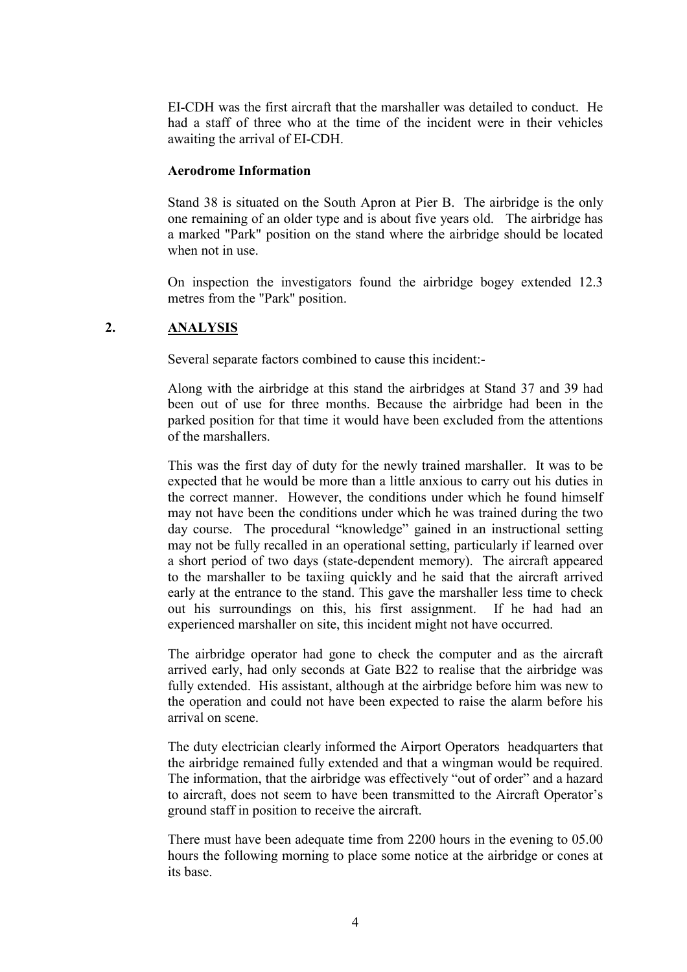EI-CDH was the first aircraft that the marshaller was detailed to conduct. He had a staff of three who at the time of the incident were in their vehicles awaiting the arrival of EI-CDH.

#### **Aerodrome Information**

Stand 38 is situated on the South Apron at Pier B. The airbridge is the only one remaining of an older type and is about five years old. The airbridge has a marked "Park" position on the stand where the airbridge should be located when not in use.

On inspection the investigators found the airbridge bogey extended 12.3 metres from the "Park" position.

### **2. ANALYSIS**

Several separate factors combined to cause this incident:-

Along with the airbridge at this stand the airbridges at Stand 37 and 39 had been out of use for three months. Because the airbridge had been in the parked position for that time it would have been excluded from the attentions of the marshallers.

This was the first day of duty for the newly trained marshaller. It was to be expected that he would be more than a little anxious to carry out his duties in the correct manner. However, the conditions under which he found himself may not have been the conditions under which he was trained during the two day course. The procedural "knowledge" gained in an instructional setting may not be fully recalled in an operational setting, particularly if learned over a short period of two days (state-dependent memory). The aircraft appeared to the marshaller to be taxiing quickly and he said that the aircraft arrived early at the entrance to the stand. This gave the marshaller less time to check out his surroundings on this, his first assignment. If he had had an experienced marshaller on site, this incident might not have occurred.

The airbridge operator had gone to check the computer and as the aircraft arrived early, had only seconds at Gate B22 to realise that the airbridge was fully extended. His assistant, although at the airbridge before him was new to the operation and could not have been expected to raise the alarm before his arrival on scene.

The duty electrician clearly informed the Airport Operators headquarters that the airbridge remained fully extended and that a wingman would be required. The information, that the airbridge was effectively "out of order" and a hazard to aircraft, does not seem to have been transmitted to the Aircraft Operator's ground staff in position to receive the aircraft.

There must have been adequate time from 2200 hours in the evening to 05.00 hours the following morning to place some notice at the airbridge or cones at its base.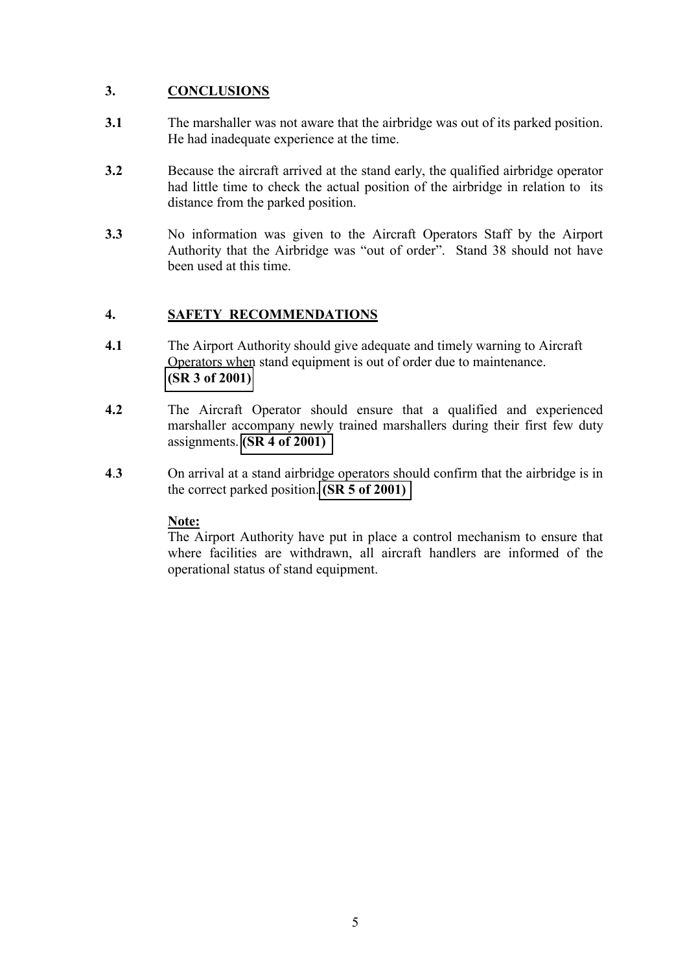# **3. CONCLUSIONS**

- **3.1** The marshaller was not aware that the airbridge was out of its parked position. He had inadequate experience at the time.
- **3.2** Because the aircraft arrived at the stand early, the qualified airbridge operator had little time to check the actual position of the airbridge in relation to its distance from the parked position.
- **3.3** No information was given to the Aircraft Operators Staff by the Airport Authority that the Airbridge was "out of order". Stand 38 should not have been used at this time.

# **4. SAFETY RECOMMENDATIONS**

- **4.1** The Airport Authority should give adequate and timely warning to Aircraft Operators when stand equipment is out of order due to maintenance. **[\(SR 3 of 2001\)](#page-0-0)**
- **4.2** The Aircraft Operator should ensure that a qualified and experienced marshaller accompany newly trained marshallers during their first few duty assignments. **[\(SR 4 of 2001\)](#page-0-0)**
- **4**.**3** On arrival at a stand airbridge operators should confirm that the airbridge is in the correct parked position. **[\(SR 5 of 2001\)](#page-0-0)**

# **Note:**

The Airport Authority have put in place a control mechanism to ensure that where facilities are withdrawn, all aircraft handlers are informed of the operational status of stand equipment.